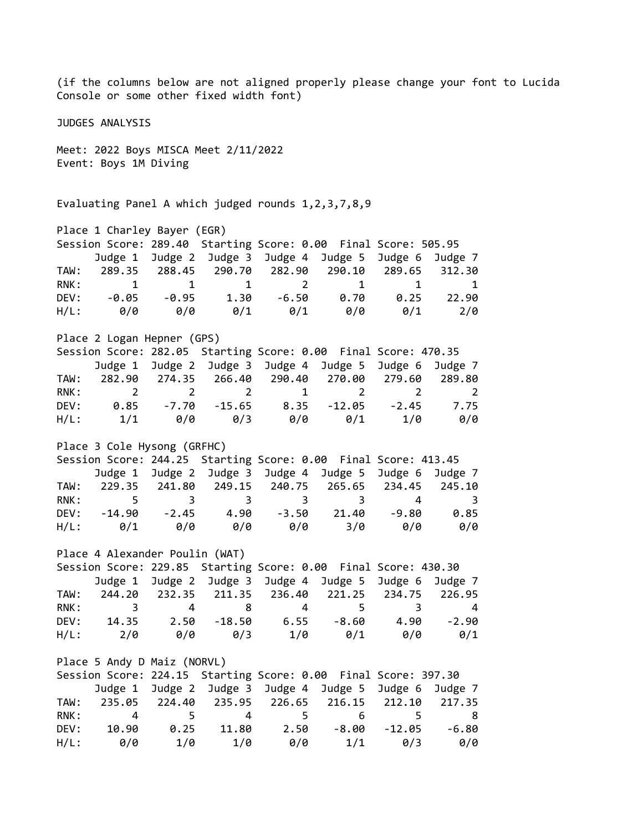(if the columns below are not aligned properly please change your font to Lucida Console or some other fixed width font) JUDGES ANALYSIS Meet: 2022 Boys MISCA Meet 2/11/2022 Event: Boys 1M Diving Evaluating Panel A which judged rounds 1,2,3,7,8,9 Place 1 Charley Bayer (EGR) Session Score: 289.40 Starting Score: 0.00 Final Score: 505.95 Judge 1 Judge 2 Judge 3 Judge 4 Judge 5 Judge 6 Judge 7 TAW: 289.35 288.45 290.70 282.90 290.10 289.65 312.30 RNK: 1 1 1 1 2 1 1 1 DEV: -0.05 -0.95 1.30 -6.50 0.70 0.25 22.90 H/L: 0/0 0/0 0/1 0/1 0/0 0/1 2/0 Place 2 Logan Hepner (GPS) Session Score: 282.05 Starting Score: 0.00 Final Score: 470.35 Judge 1 Judge 2 Judge 3 Judge 4 Judge 5 Judge 6 Judge 7 TAW: 282.90 274.35 266.40 290.40 270.00 279.60 289.80 RNK: 2 2 2 1 2 2 2 DEV: 0.85 -7.70 -15.65 8.35 -12.05 -2.45 7.75 H/L: 1/1 0/0 0/3 0/0 0/1 1/0 0/0 Place 3 Cole Hysong (GRFHC) Session Score: 244.25 Starting Score: 0.00 Final Score: 413.45 Judge 1 Judge 2 Judge 3 Judge 4 Judge 5 Judge 6 Judge 7 TAW: 229.35 241.80 249.15 240.75 265.65 234.45 245.10 RNK: 5 3 3 3 3 4 3 DEV: -14.90 -2.45 4.90 -3.50 21.40 -9.80 0.85 H/L: 0/1 0/0 0/0 0/0 3/0 0/0 0/0 Place 4 Alexander Poulin (WAT) Session Score: 229.85 Starting Score: 0.00 Final Score: 430.30 Judge 1 Judge 2 Judge 3 Judge 4 Judge 5 Judge 6 Judge 7 TAW: 244.20 232.35 211.35 236.40 221.25 234.75 226.95 RNK: 3 4 8 4 5 3 4 DEV: 14.35 2.50 -18.50 6.55 -8.60 4.90 -2.90 H/L: 2/0 0/0 0/3 1/0 0/1 0/0 0/1 Place 5 Andy D Maiz (NORVL) Session Score: 224.15 Starting Score: 0.00 Final Score: 397.30 Judge 1 Judge 2 Judge 3 Judge 4 Judge 5 Judge 6 Judge 7 TAW: 235.05 224.40 235.95 226.65 216.15 212.10 217.35 RNK: 4 5 4 5 6 5 8 DEV: 10.90 0.25 11.80 2.50 -8.00 -12.05 -6.80 H/L: 0/0 1/0 1/0 0/0 1/1 0/3 0/0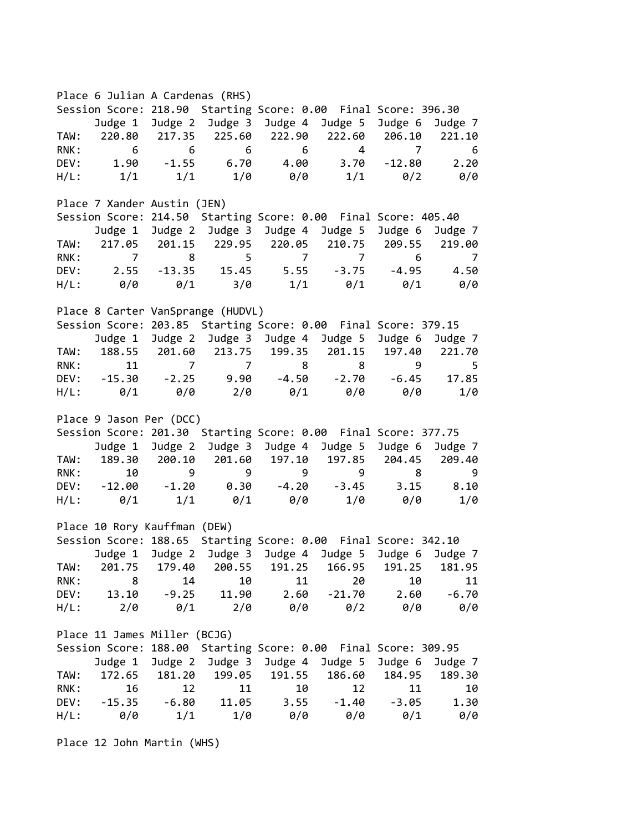Place 6 Julian A Cardenas (RHS) Session Score: 218.90 Starting Score: 0.00 Final Score: 396.30 Judge 1 Judge 2 Judge 3 Judge 4 Judge 5 Judge 6 Judge 7 TAW: 220.80 217.35 225.60 222.90 222.60 206.10 221.10 RNK: 6 6 6 6 6 4 7 6 DEV: 1.90 -1.55 6.70 4.00 3.70 -12.80 2.20 H/L: 1/1 1/1 1/0 0/0 1/1 0/2 0/0 Place 7 Xander Austin (JEN) Session Score: 214.50 Starting Score: 0.00 Final Score: 405.40 Judge 1 Judge 2 Judge 3 Judge 4 Judge 5 Judge 6 Judge 7 TAW: 217.05 201.15 229.95 220.05 210.75 209.55 219.00 RNK: 7 8 5 7 7 6 7 DEV: 2.55 -13.35 15.45 5.55 -3.75 -4.95 4.50 H/L: 0/0 0/1 3/0 1/1 0/1 0/1 0/0 Place 8 Carter VanSprange (HUDVL) Session Score: 203.85 Starting Score: 0.00 Final Score: 379.15 Judge 1 Judge 2 Judge 3 Judge 4 Judge 5 Judge 6 Judge 7 TAW: 188.55 201.60 213.75 199.35 201.15 197.40 221.70 RNK: 11 7 7 8 8 9 5 DEV: -15.30 -2.25 9.90 -4.50 -2.70 -6.45 17.85 H/L: 0/1 0/0 2/0 0/1 0/0 0/0 1/0 Place 9 Jason Per (DCC) Session Score: 201.30 Starting Score: 0.00 Final Score: 377.75 Judge 1 Judge 2 Judge 3 Judge 4 Judge 5 Judge 6 Judge 7 TAW: 189.30 200.10 201.60 197.10 197.85 204.45 209.40 RNK: 10 9 9 9 9 8 9 DEV: -12.00 -1.20 0.30 -4.20 -3.45 3.15 8.10 H/L: 0/1 1/1 0/1 0/0 1/0 0/0 1/0 Place 10 Rory Kauffman (DEW) Session Score: 188.65 Starting Score: 0.00 Final Score: 342.10 Judge 1 Judge 2 Judge 3 Judge 4 Judge 5 Judge 6 Judge 7 TAW: 201.75 179.40 200.55 191.25 166.95 191.25 181.95 RNK: 8 14 10 11 20 10 11 DEV: 13.10 -9.25 11.90 2.60 -21.70 2.60 -6.70 H/L: 2/0 0/1 2/0 0/0 0/2 0/0 0/0 Place 11 James Miller (BCJG) Session Score: 188.00 Starting Score: 0.00 Final Score: 309.95 Judge 1 Judge 2 Judge 3 Judge 4 Judge 5 Judge 6 Judge 7 TAW: 172.65 181.20 199.05 191.55 186.60 184.95 189.30 RNK: 16 12 11 10 12 11 10 DEV: -15.35 -6.80 11.05 3.55 -1.40 -3.05 1.30 H/L: 0/0 1/1 1/0 0/0 0/0 0/1 0/0

Place 12 John Martin (WHS)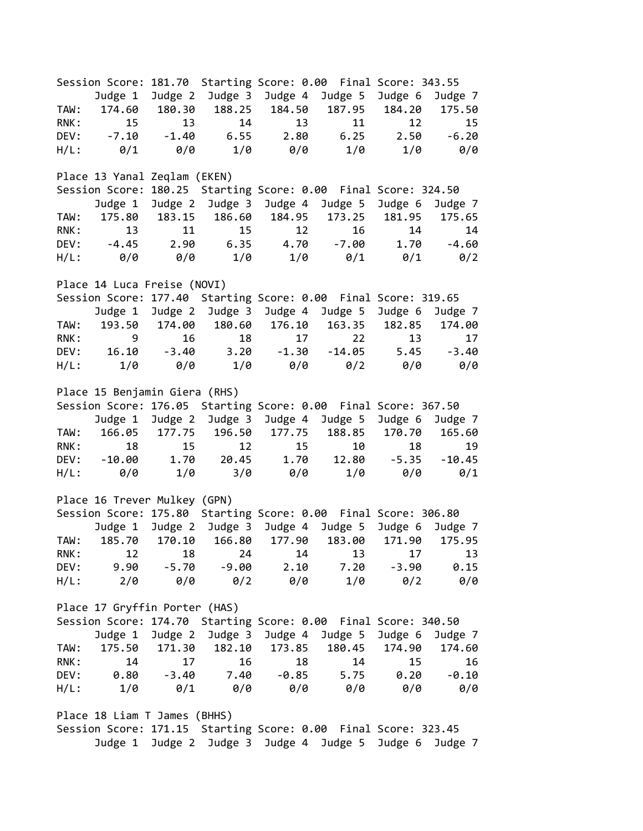Session Score: 181.70 Starting Score: 0.00 Final Score: 343.55 Judge 1 Judge 2 Judge 3 Judge 4 Judge 5 Judge 6 Judge 7 TAW: 174.60 180.30 188.25 184.50 187.95 184.20 175.50 RNK: 15 13 14 13 11 12 15 DEV: -7.10 -1.40 6.55 2.80 6.25 2.50 -6.20 H/L: 0/1 0/0 1/0 0/0 1/0 1/0 0/0 Place 13 Yanal Zeqlam (EKEN) Session Score: 180.25 Starting Score: 0.00 Final Score: 324.50 Judge 1 Judge 2 Judge 3 Judge 4 Judge 5 Judge 6 Judge 7 TAW: 175.80 183.15 186.60 184.95 173.25 181.95 175.65 RNK: 13 11 15 12 16 14 14 DEV: -4.45 2.90 6.35 4.70 -7.00 1.70 -4.60 H/L: 0/0 0/0 1/0 1/0 0/1 0/1 0/2 Place 14 Luca Freise (NOVI) Session Score: 177.40 Starting Score: 0.00 Final Score: 319.65 Judge 1 Judge 2 Judge 3 Judge 4 Judge 5 Judge 6 Judge 7 TAW: 193.50 174.00 180.60 176.10 163.35 182.85 174.00 RNK: 9 16 18 17 22 13 17 DEV: 16.10 -3.40 3.20 -1.30 -14.05 5.45 -3.40 H/L: 1/0 0/0 1/0 0/0 0/2 0/0 0/0 Place 15 Benjamin Giera (RHS) Session Score: 176.05 Starting Score: 0.00 Final Score: 367.50 Judge 1 Judge 2 Judge 3 Judge 4 Judge 5 Judge 6 Judge 7 TAW: 166.05 177.75 196.50 177.75 188.85 170.70 165.60 RNK: 18 15 12 15 10 18 19 DEV: -10.00 1.70 20.45 1.70 12.80 -5.35 -10.45 H/L: 0/0 1/0 3/0 0/0 1/0 0/0 0/1 Place 16 Trever Mulkey (GPN) Session Score: 175.80 Starting Score: 0.00 Final Score: 306.80 Judge 1 Judge 2 Judge 3 Judge 4 Judge 5 Judge 6 Judge 7 TAW: 185.70 170.10 166.80 177.90 183.00 171.90 175.95 RNK: 12 18 24 14 13 17 13 DEV: 9.90 -5.70 -9.00 2.10 7.20 -3.90 0.15 H/L: 2/0 0/0 0/2 0/0 1/0 0/2 0/0 Place 17 Gryffin Porter (HAS) Session Score: 174.70 Starting Score: 0.00 Final Score: 340.50 Judge 1 Judge 2 Judge 3 Judge 4 Judge 5 Judge 6 Judge 7 TAW: 175.50 171.30 182.10 173.85 180.45 174.90 174.60 RNK: 14 17 16 18 14 15 16 DEV: 0.80 -3.40 7.40 -0.85 5.75 0.20 -0.10 H/L: 1/0 0/1 0/0 0/0 0/0 0/0 0/0 Place 18 Liam T James (BHHS) Session Score: 171.15 Starting Score: 0.00 Final Score: 323.45

Judge 1 Judge 2 Judge 3 Judge 4 Judge 5 Judge 6 Judge 7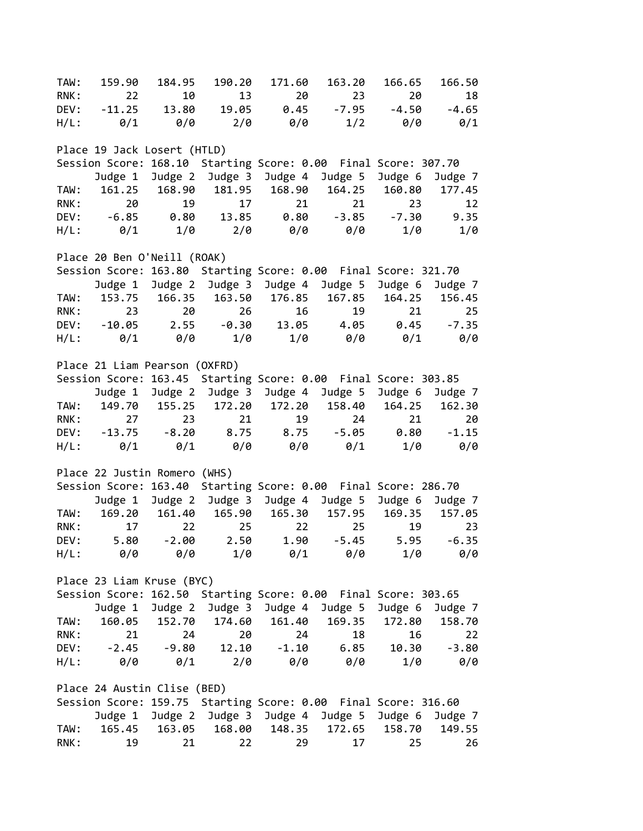TAW: 159.90 184.95 190.20 171.60 163.20 166.65 166.50 RNK: 22 10 13 20 23 20 18 DEV: -11.25 13.80 19.05 0.45 -7.95 -4.50 -4.65 H/L: 0/1 0/0 2/0 0/0 1/2 0/0 0/1 Place 19 Jack Losert (HTLD) Session Score: 168.10 Starting Score: 0.00 Final Score: 307.70 Judge 1 Judge 2 Judge 3 Judge 4 Judge 5 Judge 6 Judge 7 TAW: 161.25 168.90 181.95 168.90 164.25 160.80 177.45 RNK: 20 19 17 21 21 23 12 DEV: -6.85 0.80 13.85 0.80 -3.85 -7.30 9.35 H/L: 0/1 1/0 2/0 0/0 0/0 1/0 1/0 Place 20 Ben O'Neill (ROAK) Session Score: 163.80 Starting Score: 0.00 Final Score: 321.70 Judge 1 Judge 2 Judge 3 Judge 4 Judge 5 Judge 6 Judge 7 TAW: 153.75 166.35 163.50 176.85 167.85 164.25 156.45 RNK: 23 20 26 16 19 21 25 DEV: -10.05 2.55 -0.30 13.05 4.05 0.45 -7.35 H/L: 0/1 0/0 1/0 1/0 0/0 0/1 0/0 Place 21 Liam Pearson (OXFRD) Session Score: 163.45 Starting Score: 0.00 Final Score: 303.85 Judge 1 Judge 2 Judge 3 Judge 4 Judge 5 Judge 6 Judge 7 TAW: 149.70 155.25 172.20 172.20 158.40 164.25 162.30 RNK: 27 23 21 19 24 21 20 DEV: -13.75 -8.20 8.75 8.75 -5.05 0.80 -1.15 H/L: 0/1 0/1 0/0 0/0 0/1 1/0 0/0 Place 22 Justin Romero (WHS) Session Score: 163.40 Starting Score: 0.00 Final Score: 286.70 Judge 1 Judge 2 Judge 3 Judge 4 Judge 5 Judge 6 Judge 7 TAW: 169.20 161.40 165.90 165.30 157.95 169.35 157.05 RNK: 17 22 25 22 25 19 23 DEV: 5.80 -2.00 2.50 1.90 -5.45 5.95 -6.35 H/L: 0/0 0/0 1/0 0/1 0/0 1/0 0/0 Place 23 Liam Kruse (BYC) Session Score: 162.50 Starting Score: 0.00 Final Score: 303.65 Judge 1 Judge 2 Judge 3 Judge 4 Judge 5 Judge 6 Judge 7 TAW: 160.05 152.70 174.60 161.40 169.35 172.80 158.70 RNK: 21 24 20 24 18 16 22 DEV: -2.45 -9.80 12.10 -1.10 6.85 10.30 -3.80 H/L: 0/0 0/1 2/0 0/0 0/0 1/0 0/0 Place 24 Austin Clise (BED) Session Score: 159.75 Starting Score: 0.00 Final Score: 316.60 Judge 1 Judge 2 Judge 3 Judge 4 Judge 5 Judge 6 Judge 7 TAW: 165.45 163.05 168.00 148.35 172.65 158.70 149.55 RNK: 19 21 22 29 17 25 26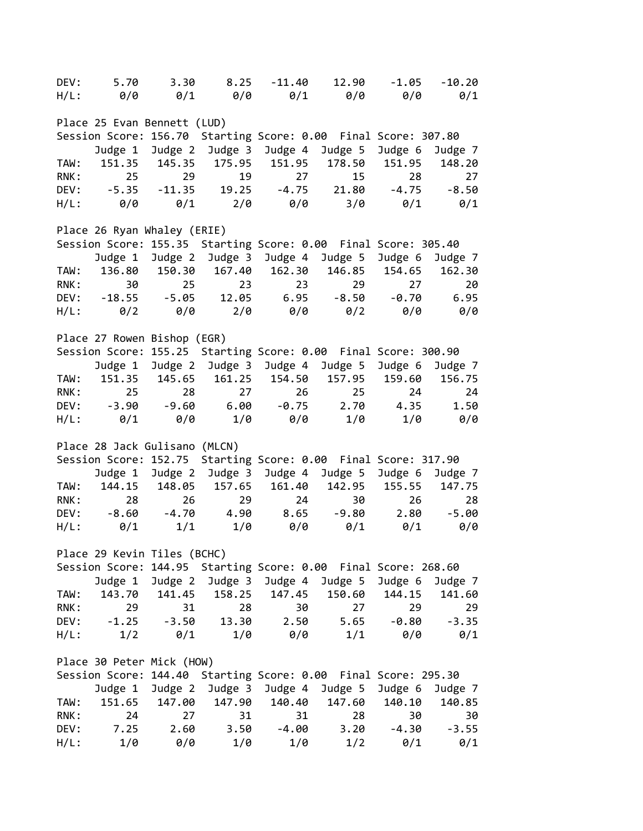DEV: 5.70 3.30 8.25 -11.40 12.90 -1.05 -10.20 H/L: 0/0 0/1 0/0 0/1 0/0 0/0 0/1 Place 25 Evan Bennett (LUD) Session Score: 156.70 Starting Score: 0.00 Final Score: 307.80 Judge 1 Judge 2 Judge 3 Judge 4 Judge 5 Judge 6 Judge 7 TAW: 151.35 145.35 175.95 151.95 178.50 151.95 148.20 RNK: 25 29 19 27 15 28 27 DEV: -5.35 -11.35 19.25 -4.75 21.80 -4.75 -8.50 H/L: 0/0 0/1 2/0 0/0 3/0 0/1 0/1 Place 26 Ryan Whaley (ERIE) Session Score: 155.35 Starting Score: 0.00 Final Score: 305.40 Judge 1 Judge 2 Judge 3 Judge 4 Judge 5 Judge 6 Judge 7 TAW: 136.80 150.30 167.40 162.30 146.85 154.65 162.30 RNK: 30 25 23 23 29 27 20 DEV: -18.55 -5.05 12.05 6.95 -8.50 -0.70 6.95 H/L: 0/2 0/0 2/0 0/0 0/2 0/0 0/0 Place 27 Rowen Bishop (EGR) Session Score: 155.25 Starting Score: 0.00 Final Score: 300.90 Judge 1 Judge 2 Judge 3 Judge 4 Judge 5 Judge 6 Judge 7 TAW: 151.35 145.65 161.25 154.50 157.95 159.60 156.75 RNK: 25 28 27 26 25 24 24 DEV: -3.90 -9.60 6.00 -0.75 2.70 4.35 1.50 H/L: 0/1 0/0 1/0 0/0 1/0 1/0 0/0 Place 28 Jack Gulisano (MLCN) Session Score: 152.75 Starting Score: 0.00 Final Score: 317.90 Judge 1 Judge 2 Judge 3 Judge 4 Judge 5 Judge 6 Judge 7 TAW: 144.15 148.05 157.65 161.40 142.95 155.55 147.75 RNK: 28 26 29 24 30 26 28 DEV: -8.60 -4.70 4.90 8.65 -9.80 2.80 -5.00 H/L: 0/1 1/1 1/0 0/0 0/1 0/1 0/0 Place 29 Kevin Tiles (BCHC) Session Score: 144.95 Starting Score: 0.00 Final Score: 268.60 Judge 1 Judge 2 Judge 3 Judge 4 Judge 5 Judge 6 Judge 7 TAW: 143.70 141.45 158.25 147.45 150.60 144.15 141.60 RNK: 29 31 28 30 27 29 29 DEV: -1.25 -3.50 13.30 2.50 5.65 -0.80 -3.35 H/L: 1/2 0/1 1/0 0/0 1/1 0/0 0/1 Place 30 Peter Mick (HOW) Session Score: 144.40 Starting Score: 0.00 Final Score: 295.30 Judge 1 Judge 2 Judge 3 Judge 4 Judge 5 Judge 6 Judge 7 TAW: 151.65 147.00 147.90 140.40 147.60 140.10 140.85 RNK: 24 27 31 31 28 30 30 DEV: 7.25 2.60 3.50 -4.00 3.20 -4.30 -3.55 H/L: 1/0 0/0 1/0 1/0 1/2 0/1 0/1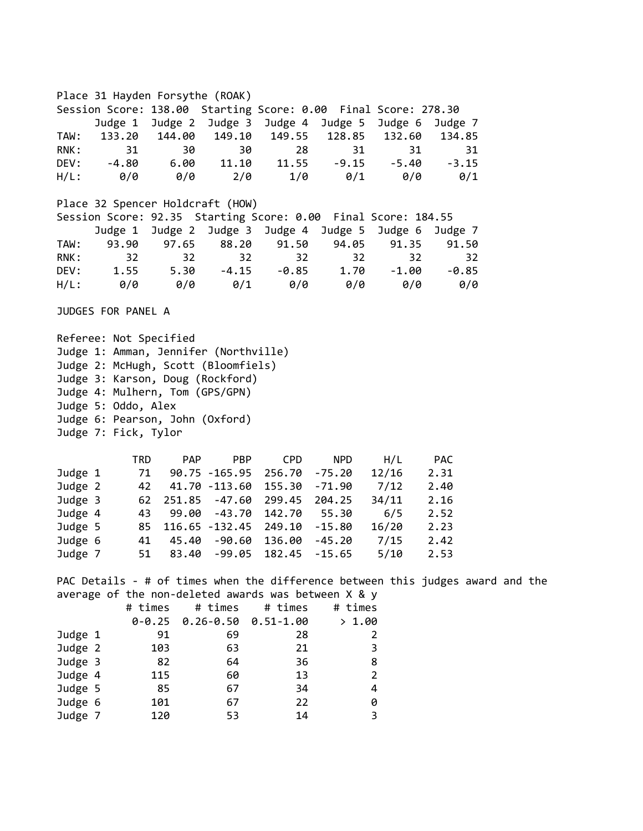Place 31 Hayden Forsythe (ROAK) Session Score: 138.00 Starting Score: 0.00 Final Score: 278.30 Judge 1 Judge 2 Judge 3 Judge 4 Judge 5 Judge 6 Judge 7 TAW: 133.20 144.00 149.10 149.55 128.85 132.60 134.85 RNK: 31 30 30 28 31 31 31 DEV: -4.80 6.00 11.10 11.55 -9.15 -5.40 -3.15 H/L: 0/0 0/0 2/0 1/0 0/1 0/0 0/1 Place 32 Spencer Holdcraft (HOW) Session Score: 92.35 Starting Score: 0.00 Final Score: 184.55 Judge 1 Judge 2 Judge 3 Judge 4 Judge 5 Judge 6 Judge 7 TAW: 93.90 97.65 88.20 91.50 94.05 91.35 91.50 RNK: 32 32 32 32 32 32 32 DEV: 1.55 5.30 -4.15 -0.85 1.70 -1.00 -0.85 H/L: 0/0 0/0 0/1 0/0 0/0 0/0 0/0 JUDGES FOR PANEL A Referee: Not Specified Judge 1: Amman, Jennifer (Northville) Judge 2: McHugh, Scott (Bloomfiels) Judge 3: Karson, Doug (Rockford) Judge 4: Mulhern, Tom (GPS/GPN) Judge 5: Oddo, Alex Judge 6: Pearson, John (Oxford) Judge 7: Fick, Tylor TRD PAP PBP CPD NPD H/L PAC Judge 1 71 90.75 -165.95 256.70 -75.20 12/16 2.31 Judge 2 42 41.70 -113.60 155.30 -71.90 7/12 2.40 Judge 3 62 251.85 -47.60 299.45 204.25 34/11 2.16 Judge 4 43 99.00 -43.70 142.70 55.30 6/5 2.52 Judge 5 85 116.65 -132.45 249.10 -15.80 16/20 2.23 Judge 6 41 45.40 -90.60 136.00 -45.20 7/15 2.42 Judge 7 51 83.40 -99.05 182.45 -15.65 5/10 2.53 PAC Details - # of times when the difference between this judges award and the average of the non-deleted awards was between X & y # times # times # times # times  $0.25$   $0.26 - 0.50$   $0.51 - 1.00$   $> 1.00$ Judge 1 91 69 28 2 Judge 2 103 63 21 3 Judge 3 82 64 36 8 Judge 4 115 60 13 2 Judge 5 85 67 34 4 Judge 6 101 67 22 0 Judge 7 120 53 14 3